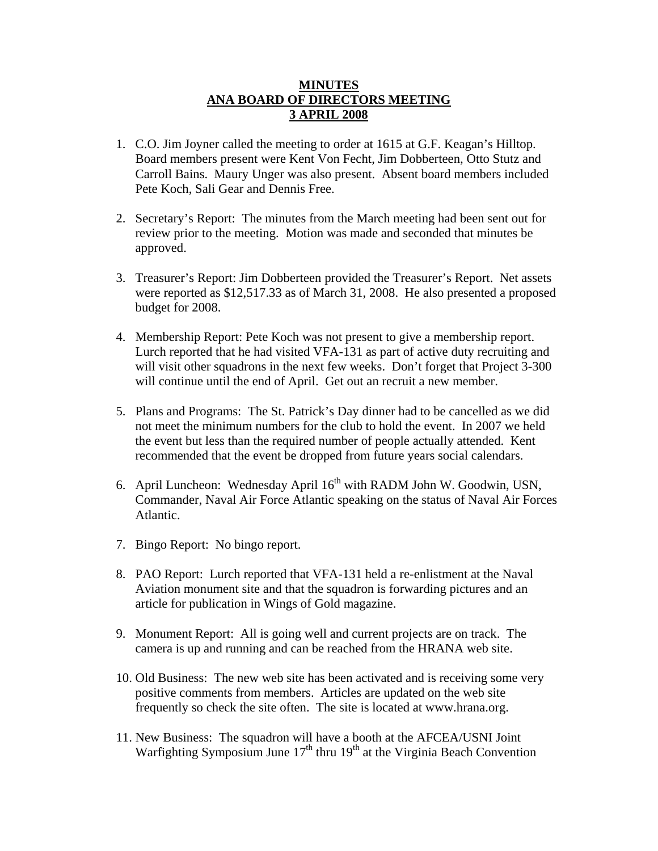## **MINUTES ANA BOARD OF DIRECTORS MEETING 3 APRIL 2008**

- 1. C.O. Jim Joyner called the meeting to order at 1615 at G.F. Keagan's Hilltop. Board members present were Kent Von Fecht, Jim Dobberteen, Otto Stutz and Carroll Bains. Maury Unger was also present. Absent board members included Pete Koch, Sali Gear and Dennis Free.
- 2. Secretary's Report: The minutes from the March meeting had been sent out for review prior to the meeting. Motion was made and seconded that minutes be approved.
- 3. Treasurer's Report: Jim Dobberteen provided the Treasurer's Report. Net assets were reported as \$12,517.33 as of March 31, 2008. He also presented a proposed budget for 2008.
- 4. Membership Report: Pete Koch was not present to give a membership report. Lurch reported that he had visited VFA-131 as part of active duty recruiting and will visit other squadrons in the next few weeks. Don't forget that Project 3-300 will continue until the end of April. Get out an recruit a new member.
- 5. Plans and Programs: The St. Patrick's Day dinner had to be cancelled as we did not meet the minimum numbers for the club to hold the event. In 2007 we held the event but less than the required number of people actually attended. Kent recommended that the event be dropped from future years social calendars.
- 6. April Luncheon: Wednesday April 16<sup>th</sup> with RADM John W. Goodwin, USN, Commander, Naval Air Force Atlantic speaking on the status of Naval Air Forces Atlantic.
- 7. Bingo Report: No bingo report.
- 8. PAO Report: Lurch reported that VFA-131 held a re-enlistment at the Naval Aviation monument site and that the squadron is forwarding pictures and an article for publication in Wings of Gold magazine.
- 9. Monument Report: All is going well and current projects are on track. The camera is up and running and can be reached from the HRANA web site.
- 10. Old Business: The new web site has been activated and is receiving some very positive comments from members. Articles are updated on the web site frequently so check the site often. The site is located at www.hrana.org.
- 11. New Business: The squadron will have a booth at the AFCEA/USNI Joint Warfighting Symposium June  $17<sup>th</sup>$  thru  $19<sup>th</sup>$  at the Virginia Beach Convention